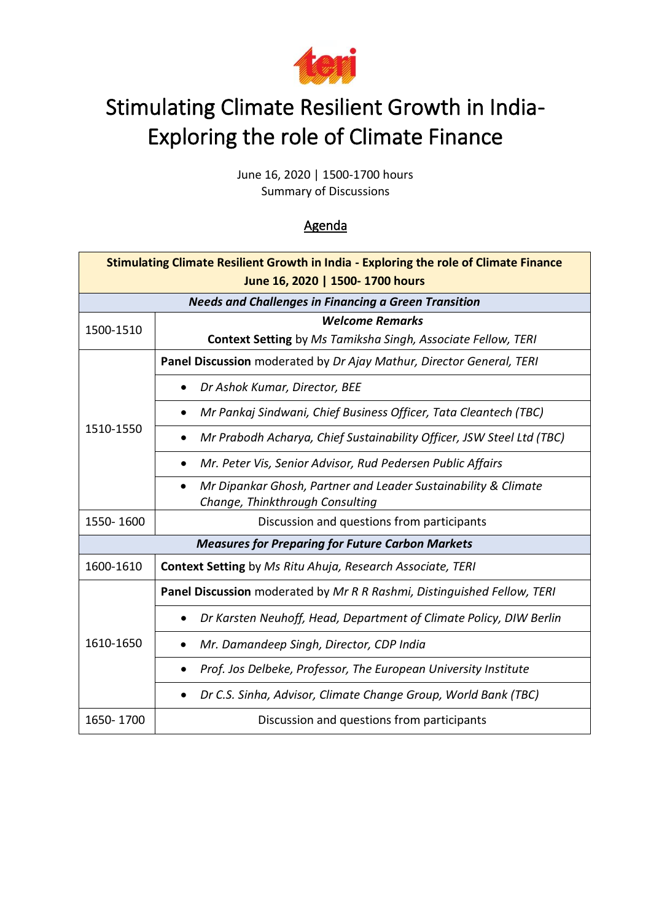

# Stimulating Climate Resilient Growth in India-Exploring the role of Climate Finance

June 16, 2020 | 1500-1700 hours Summary of Discussions

## Agenda

| <b>Stimulating Climate Resilient Growth in India - Exploring the role of Climate Finance</b><br>June 16, 2020   1500- 1700 hours |                                                                                                                |
|----------------------------------------------------------------------------------------------------------------------------------|----------------------------------------------------------------------------------------------------------------|
| <b>Needs and Challenges in Financing a Green Transition</b>                                                                      |                                                                                                                |
| 1500-1510                                                                                                                        | <b>Welcome Remarks</b>                                                                                         |
|                                                                                                                                  | Context Setting by Ms Tamiksha Singh, Associate Fellow, TERI                                                   |
| 1510-1550                                                                                                                        | Panel Discussion moderated by Dr Ajay Mathur, Director General, TERI                                           |
|                                                                                                                                  | Dr Ashok Kumar, Director, BEE                                                                                  |
|                                                                                                                                  | Mr Pankaj Sindwani, Chief Business Officer, Tata Cleantech (TBC)                                               |
|                                                                                                                                  | Mr Prabodh Acharya, Chief Sustainability Officer, JSW Steel Ltd (TBC)                                          |
|                                                                                                                                  | Mr. Peter Vis, Senior Advisor, Rud Pedersen Public Affairs                                                     |
|                                                                                                                                  | Mr Dipankar Ghosh, Partner and Leader Sustainability & Climate<br>$\bullet$<br>Change, Thinkthrough Consulting |
| 1550-1600                                                                                                                        | Discussion and questions from participants                                                                     |
| <b>Measures for Preparing for Future Carbon Markets</b>                                                                          |                                                                                                                |
| 1600-1610                                                                                                                        | <b>Context Setting</b> by Ms Ritu Ahuja, Research Associate, TERI                                              |
| 1610-1650                                                                                                                        | Panel Discussion moderated by Mr R R Rashmi, Distinguished Fellow, TERI                                        |
|                                                                                                                                  | Dr Karsten Neuhoff, Head, Department of Climate Policy, DIW Berlin<br>$\bullet$                                |
|                                                                                                                                  | Mr. Damandeep Singh, Director, CDP India                                                                       |
|                                                                                                                                  | Prof. Jos Delbeke, Professor, The European University Institute                                                |
|                                                                                                                                  | Dr C.S. Sinha, Advisor, Climate Change Group, World Bank (TBC)                                                 |
| 1650-1700                                                                                                                        | Discussion and questions from participants                                                                     |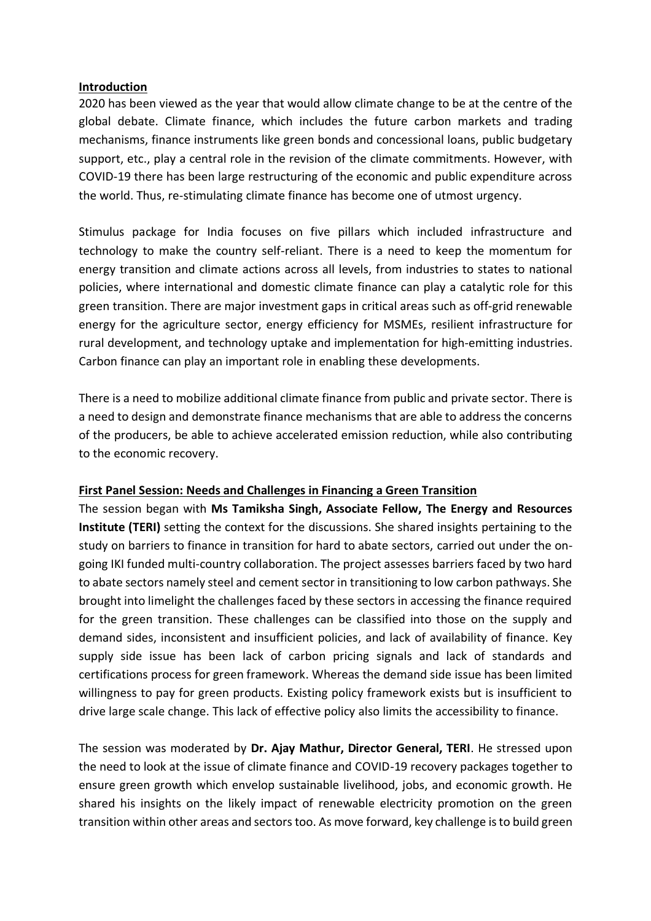#### **Introduction**

2020 has been viewed as the year that would allow climate change to be at the centre of the global debate. Climate finance, which includes the future carbon markets and trading mechanisms, finance instruments like green bonds and concessional loans, public budgetary support, etc., play a central role in the revision of the climate commitments. However, with COVID-19 there has been large restructuring of the economic and public expenditure across the world. Thus, re-stimulating climate finance has become one of utmost urgency.

Stimulus package for India focuses on five pillars which included infrastructure and technology to make the country self-reliant. There is a need to keep the momentum for energy transition and climate actions across all levels, from industries to states to national policies, where international and domestic climate finance can play a catalytic role for this green transition. There are major investment gaps in critical areas such as off-grid renewable energy for the agriculture sector, energy efficiency for MSMEs, resilient infrastructure for rural development, and technology uptake and implementation for high-emitting industries. Carbon finance can play an important role in enabling these developments.

There is a need to mobilize additional climate finance from public and private sector. There is a need to design and demonstrate finance mechanisms that are able to address the concerns of the producers, be able to achieve accelerated emission reduction, while also contributing to the economic recovery.

#### **First Panel Session: Needs and Challenges in Financing a Green Transition**

The session began with **Ms Tamiksha Singh, Associate Fellow, The Energy and Resources Institute (TERI)** setting the context for the discussions. She shared insights pertaining to the study on barriers to finance in transition for hard to abate sectors, carried out under the ongoing IKI funded multi-country collaboration. The project assesses barriers faced by two hard to abate sectors namely steel and cement sector in transitioning to low carbon pathways. She brought into limelight the challenges faced by these sectors in accessing the finance required for the green transition. These challenges can be classified into those on the supply and demand sides, inconsistent and insufficient policies, and lack of availability of finance. Key supply side issue has been lack of carbon pricing signals and lack of standards and certifications process for green framework. Whereas the demand side issue has been limited willingness to pay for green products. Existing policy framework exists but is insufficient to drive large scale change. This lack of effective policy also limits the accessibility to finance.

The session was moderated by **Dr. Ajay Mathur, Director General, TERI**. He stressed upon the need to look at the issue of climate finance and COVID-19 recovery packages together to ensure green growth which envelop sustainable livelihood, jobs, and economic growth. He shared his insights on the likely impact of renewable electricity promotion on the green transition within other areas and sectors too. As move forward, key challenge is to build green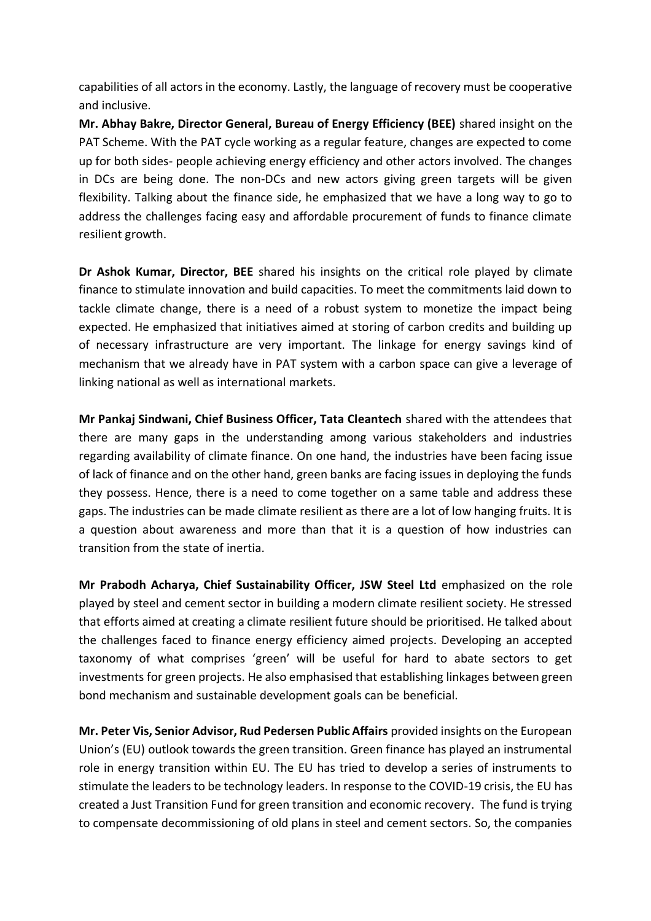capabilities of all actors in the economy. Lastly, the language of recovery must be cooperative and inclusive.

**Mr. Abhay Bakre, Director General, Bureau of Energy Efficiency (BEE)** shared insight on the PAT Scheme. With the PAT cycle working as a regular feature, changes are expected to come up for both sides- people achieving energy efficiency and other actors involved. The changes in DCs are being done. The non-DCs and new actors giving green targets will be given flexibility. Talking about the finance side, he emphasized that we have a long way to go to address the challenges facing easy and affordable procurement of funds to finance climate resilient growth.

**Dr Ashok Kumar, Director, BEE** shared his insights on the critical role played by climate finance to stimulate innovation and build capacities. To meet the commitments laid down to tackle climate change, there is a need of a robust system to monetize the impact being expected. He emphasized that initiatives aimed at storing of carbon credits and building up of necessary infrastructure are very important. The linkage for energy savings kind of mechanism that we already have in PAT system with a carbon space can give a leverage of linking national as well as international markets.

**Mr Pankaj Sindwani, Chief Business Officer, Tata Cleantech** shared with the attendees that there are many gaps in the understanding among various stakeholders and industries regarding availability of climate finance. On one hand, the industries have been facing issue of lack of finance and on the other hand, green banks are facing issues in deploying the funds they possess. Hence, there is a need to come together on a same table and address these gaps. The industries can be made climate resilient as there are a lot of low hanging fruits. It is a question about awareness and more than that it is a question of how industries can transition from the state of inertia.

**Mr Prabodh Acharya, Chief Sustainability Officer, JSW Steel Ltd** emphasized on the role played by steel and cement sector in building a modern climate resilient society. He stressed that efforts aimed at creating a climate resilient future should be prioritised. He talked about the challenges faced to finance energy efficiency aimed projects. Developing an accepted taxonomy of what comprises 'green' will be useful for hard to abate sectors to get investments for green projects. He also emphasised that establishing linkages between green bond mechanism and sustainable development goals can be beneficial.

**Mr. Peter Vis, Senior Advisor, Rud Pedersen Public Affairs** provided insights on the European Union's (EU) outlook towards the green transition. Green finance has played an instrumental role in energy transition within EU. The EU has tried to develop a series of instruments to stimulate the leaders to be technology leaders. In response to the COVID-19 crisis, the EU has created a Just Transition Fund for green transition and economic recovery. The fund is trying to compensate decommissioning of old plans in steel and cement sectors. So, the companies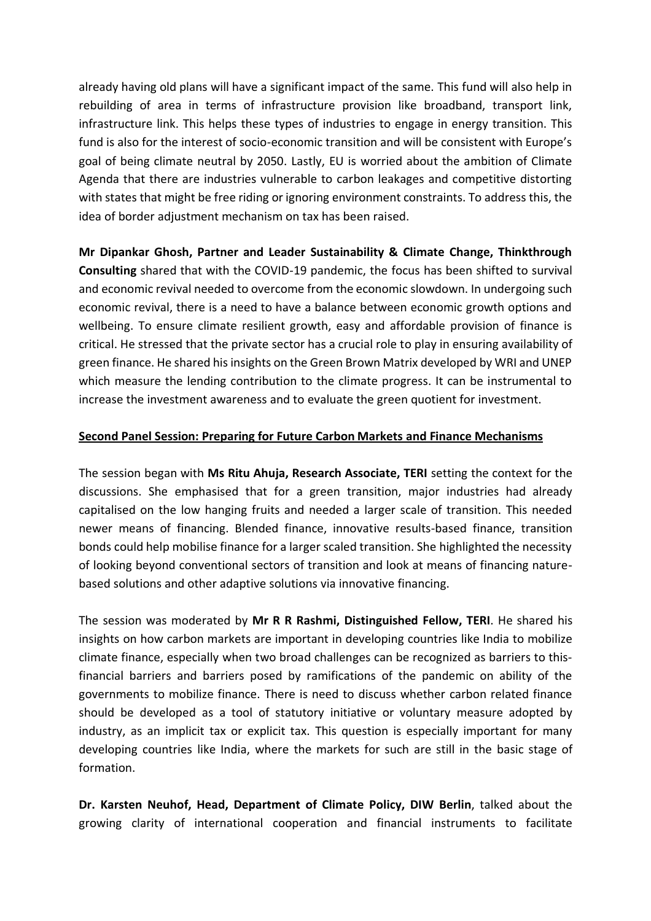already having old plans will have a significant impact of the same. This fund will also help in rebuilding of area in terms of infrastructure provision like broadband, transport link, infrastructure link. This helps these types of industries to engage in energy transition. This fund is also for the interest of socio-economic transition and will be consistent with Europe's goal of being climate neutral by 2050. Lastly, EU is worried about the ambition of Climate Agenda that there are industries vulnerable to carbon leakages and competitive distorting with states that might be free riding or ignoring environment constraints. To address this, the idea of border adjustment mechanism on tax has been raised.

**Mr Dipankar Ghosh, Partner and Leader Sustainability & Climate Change, Thinkthrough Consulting** shared that with the COVID-19 pandemic, the focus has been shifted to survival and economic revival needed to overcome from the economic slowdown. In undergoing such economic revival, there is a need to have a balance between economic growth options and wellbeing. To ensure climate resilient growth, easy and affordable provision of finance is critical. He stressed that the private sector has a crucial role to play in ensuring availability of green finance. He shared his insights on the Green Brown Matrix developed by WRI and UNEP which measure the lending contribution to the climate progress. It can be instrumental to increase the investment awareness and to evaluate the green quotient for investment.

#### **Second Panel Session: Preparing for Future Carbon Markets and Finance Mechanisms**

The session began with **Ms Ritu Ahuja, Research Associate, TERI** setting the context for the discussions. She emphasised that for a green transition, major industries had already capitalised on the low hanging fruits and needed a larger scale of transition. This needed newer means of financing. Blended finance, innovative results-based finance, transition bonds could help mobilise finance for a larger scaled transition. She highlighted the necessity of looking beyond conventional sectors of transition and look at means of financing naturebased solutions and other adaptive solutions via innovative financing.

The session was moderated by **Mr R R Rashmi, Distinguished Fellow, TERI**. He shared his insights on how carbon markets are important in developing countries like India to mobilize climate finance, especially when two broad challenges can be recognized as barriers to thisfinancial barriers and barriers posed by ramifications of the pandemic on ability of the governments to mobilize finance. There is need to discuss whether carbon related finance should be developed as a tool of statutory initiative or voluntary measure adopted by industry, as an implicit tax or explicit tax. This question is especially important for many developing countries like India, where the markets for such are still in the basic stage of formation.

**Dr. Karsten Neuhof, Head, Department of Climate Policy, DIW Berlin**, talked about the growing clarity of international cooperation and financial instruments to facilitate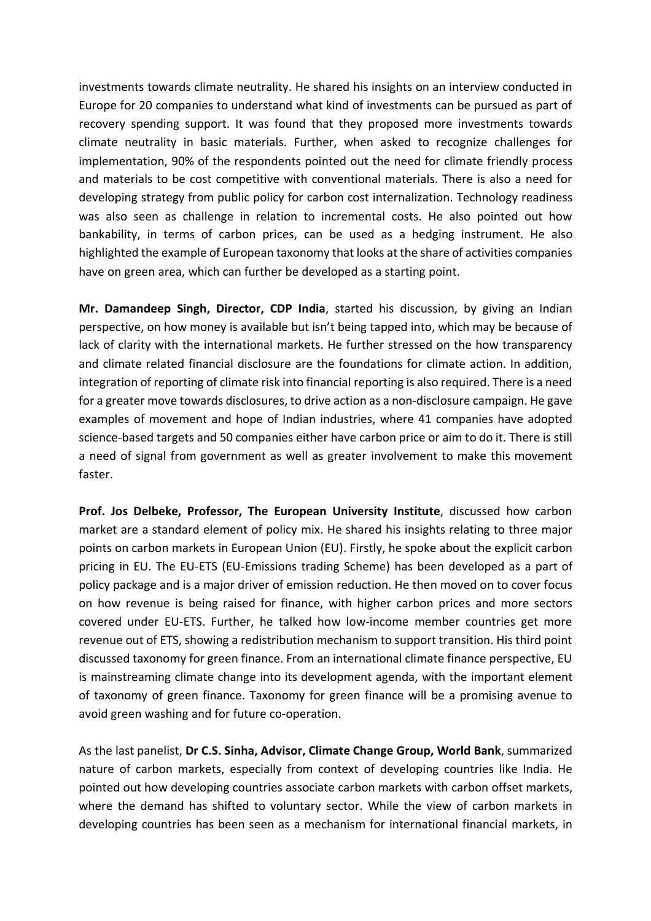investments towards climate neutrality. He shared his insights on an interview conducted in Europe for 20 companies to understand what kind of investments can be pursued as part of recovery spending support. It was found that they proposed more investments towards climate neutrality in basic materials. Further, when asked to recognize challenges for implementation, 90% of the respondents pointed out the need for climate friendly process and materials to be cost competitive with conventional materials. There is also a need for developing strategy from public policy for carbon cost internalization. Technology readiness was also seen as challenge in relation to incremental costs. He also pointed out how bankability, in terms of carbon prices, can be used as a hedging instrument. He also highlighted the example of European taxonomy that looks at the share of activities companies have on green area, which can further be developed as a starting point.

**Mr. Damandeep Singh, Director, CDP India**, started his discussion, by giving an Indian perspective, on how money is available but isn't being tapped into, which may be because of lack of clarity with the international markets. He further stressed on the how transparency and climate related financial disclosure are the foundations for climate action. In addition, integration of reporting of climate risk into financial reporting is also required. There is a need for a greater move towards disclosures, to drive action as a non-disclosure campaign. He gave examples of movement and hope of Indian industries, where 41 companies have adopted science-based targets and 50 companies either have carbon price or aim to do it. There is still a need of signal from government as well as greater involvement to make this movement faster.

**Prof. Jos Delbeke, Professor, The European University Institute**, discussed how carbon market are a standard element of policy mix. He shared his insights relating to three major points on carbon markets in European Union (EU). Firstly, he spoke about the explicit carbon pricing in EU. The EU-ETS (EU-Emissions trading Scheme) has been developed as a part of policy package and is a major driver of emission reduction. He then moved on to cover focus on how revenue is being raised for finance, with higher carbon prices and more sectors covered under EU-ETS. Further, he talked how low-income member countries get more revenue out of ETS, showing a redistribution mechanism to support transition. His third point discussed taxonomy for green finance. From an international climate finance perspective, EU is mainstreaming climate change into its development agenda, with the important element of taxonomy of green finance. Taxonomy for green finance will be a promising avenue to avoid green washing and for future co-operation.

As the last panelist, **Dr C.S. Sinha, Advisor, Climate Change Group, World Bank**, summarized nature of carbon markets, especially from context of developing countries like India. He pointed out how developing countries associate carbon markets with carbon offset markets, where the demand has shifted to voluntary sector. While the view of carbon markets in developing countries has been seen as a mechanism for international financial markets, in